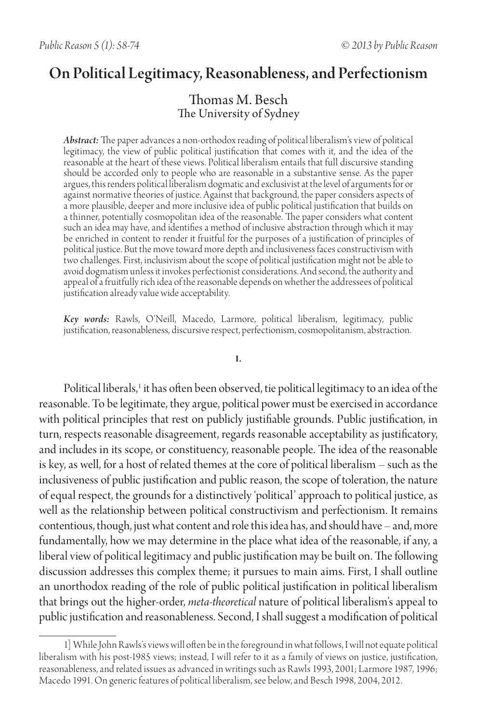# On Political Legitimacy, Reasonableness, and Perfectionism

# Thomas M. Besch The University of Sydney

*Abstract:* The paper advances a non-orthodox reading of political liberalism's view of political legitimacy, the view of public political justification that comes with it, and the idea of the reasonable at the heart of these views. Political liberalism entails that full discursive standing should be accorded only to people who are reasonable in a substantive sense. As the paper argues, this renders political liberalism dogmatic and exclusivist at the level of arguments for or against normative theories of justice. Against that background, the paper considers aspects of a more plausible, deeper and more inclusive idea of public political justification that builds on a thinner, potentially cosmopolitan idea of the reasonable. The paper considers what content such an idea may have, and identifies a method of inclusive abstraction through which it may be enriched in content to render it fruitful for the purposes of a justification of principles of political justice. But the move toward more depth and inclusiveness faces constructivism with two challenges. First, inclusivism about the scope of political justification might not be able to avoid dogmatism unless it invokes perfectionist considerations. And second, the authority and appeal of a fruitfully rich idea of the reasonable depends on whether the addressees of political justification already value wide acceptability.

*Key words:* Rawls, O'Neill, Macedo, Larmore, political liberalism, legitimacy, public justification, reasonableness, discursive respect, perfectionism, cosmopolitanism, abstraction.

**I.** 

Political liberals,' it has often been observed, tie political legitimacy to an idea of the reasonable. To be legitimate, they argue, political power must be exercised in accordance with political principles that rest on publicly justifiable grounds. Public justification, in turn, respects reasonable disagreement, regards reasonable acceptability as justificatory, and includes in its scope, or constituency, reasonable people. The idea of the reasonable is key, as well, for a host of related themes at the core of political liberalism – such as the inclusiveness of public justification and public reason, the scope of toleration, the nature of equal respect, the grounds for a distinctively 'political' approach to political justice, as well as the relationship between political constructivism and perfectionism. It remains contentious, though, just what content and role this idea has, and should have – and, more fundamentally, how we may determine in the place what idea of the reasonable, if any, a liberal view of political legitimacy and public justification may be built on. The following discussion addresses this complex theme; it pursues to main aims. First, I shall outline an unorthodox reading of the role of public political justification in political liberalism that brings out the higher-order, *meta-theoretical* nature of political liberalism's appeal to public justification and reasonableness. Second, I shall suggest a modification of political

<sup>1]</sup> While John Rawls's views will often be in the foreground in what follows, I will not equate political liberalism with his post-1985 views; instead, I will refer to it as a family of views on justice, justification, reasonableness, and related issues as advanced in writings such as Rawls 1993, 2001; Larmore 1987, 1996; Macedo 1991. On generic features of political liberalism, see below, and Besch 1998, 2004, 2012.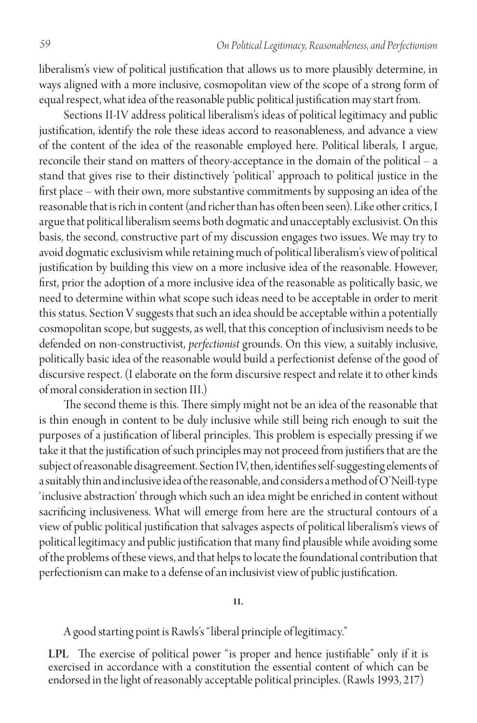liberalism's view of political justification that allows us to more plausibly determine, in ways aligned with a more inclusive, cosmopolitan view of the scope of a strong form of equal respect, what idea of the reasonable public political justification may start from.

Sections II-IV address political liberalism's ideas of political legitimacy and public justification, identify the role these ideas accord to reasonableness, and advance a view of the content of the idea of the reasonable employed here. Political liberals, I argue, reconcile their stand on matters of theory-acceptance in the domain of the political – a stand that gives rise to their distinctively 'political' approach to political justice in the first place – with their own, more substantive commitments by supposing an idea of the reasonable that is rich in content (and richer than has often been seen). Like other critics, I argue that political liberalism seems both dogmatic and unacceptably exclusivist. On this basis, the second, constructive part of my discussion engages two issues. We may try to avoid dogmatic exclusivism while retaining much of political liberalism's view of political justification by building this view on a more inclusive idea of the reasonable. However, first, prior the adoption of a more inclusive idea of the reasonable as politically basic, we need to determine within what scope such ideas need to be acceptable in order to merit this status. Section V suggests that such an idea should be acceptable within a potentially cosmopolitan scope, but suggests, as well, that this conception of inclusivism needs to be defended on non-constructivist, *perfectionist* grounds. On this view, a suitably inclusive, politically basic idea of the reasonable would build a perfectionist defense of the good of discursive respect. (I elaborate on the form discursive respect and relate it to other kinds of moral consideration in section III.)

The second theme is this. There simply might not be an idea of the reasonable that is thin enough in content to be duly inclusive while still being rich enough to suit the purposes of a justification of liberal principles. This problem is especially pressing if we take it that the justification of such principles may not proceed from justifiers that are the subject of reasonable disagreement. Section IV, then, identifies self-suggesting elements of a suitably thin and inclusive idea of the reasonable, and considers a method of O'Neill-type 'inclusive abstraction' through which such an idea might be enriched in content without sacrificing inclusiveness. What will emerge from here are the structural contours of a view of public political justification that salvages aspects of political liberalism's views of political legitimacy and public justification that many find plausible while avoiding some of the problems of these views, and that helps to locate the foundational contribution that perfectionism can make to a defense of an inclusivist view of public justification.

**II.**

A good starting point is Rawls's "liberal principle of legitimacy."

LPL The exercise of political power "is proper and hence justifiable" only if it is exercised in accordance with a constitution the essential content of which can be endorsed in the light of reasonably acceptable political principles. (Rawls 1993, 217)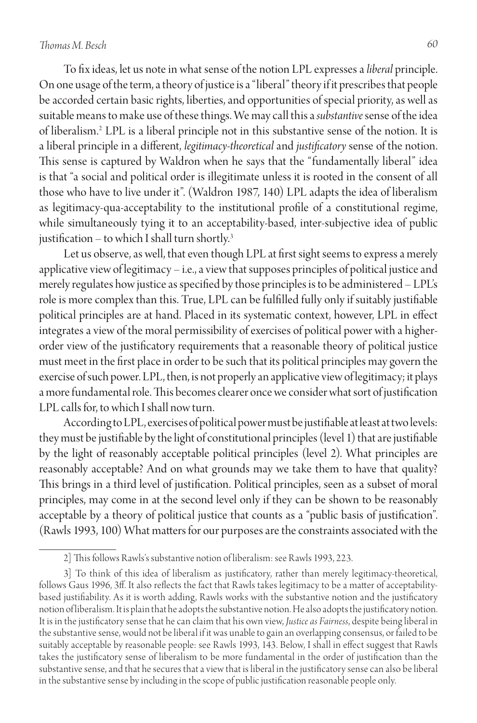# *Thomas M. Besch 60*

To fix ideas, let us note in what sense of the notion LPL expresses a *liberal* principle. On one usage of the term, a theory of justice is a "liberal" theory if it prescribes that people be accorded certain basic rights, liberties, and opportunities of special priority, as well as suitable means to make use of these things. We may call this a *substantive* sense of the idea of liberalism.2 LPL is a liberal principle not in this substantive sense of the notion. It is a liberal principle in a different, *legitimacy-theoretical* and *justificatory* sense of the notion. This sense is captured by Waldron when he says that the "fundamentally liberal" idea is that "a social and political order is illegitimate unless it is rooted in the consent of all those who have to live under it". (Waldron 1987, 140) LPL adapts the idea of liberalism as legitimacy-qua-acceptability to the institutional profile of a constitutional regime, while simultaneously tying it to an acceptability-based, inter-subjective idea of public justification – to which I shall turn shortly. $3$ 

Let us observe, as well, that even though LPL at first sight seems to express a merely applicative view of legitimacy – i.e., a view that supposes principles of political justice and merely regulates how justice as specified by those principles is to be administered – LPL's role is more complex than this. True, LPL can be fulfilled fully only if suitably justifiable political principles are at hand. Placed in its systematic context, however, LPL in effect integrates a view of the moral permissibility of exercises of political power with a higherorder view of the justificatory requirements that a reasonable theory of political justice must meet in the first place in order to be such that its political principles may govern the exercise of such power. LPL, then, is not properly an applicative view of legitimacy; it plays a more fundamental role. This becomes clearer once we consider what sort of justification LPL calls for, to which I shall now turn.

According to LPL, exercises of political power must be justifiable at least at two levels: they must be justifiable by the light of constitutional principles (level 1) that are justifiable by the light of reasonably acceptable political principles (level 2). What principles are reasonably acceptable? And on what grounds may we take them to have that quality? This brings in a third level of justification. Political principles, seen as a subset of moral principles, may come in at the second level only if they can be shown to be reasonably acceptable by a theory of political justice that counts as a "public basis of justification". (Rawls 1993, 100) What matters for our purposes are the constraints associated with the

<sup>2]</sup> This follows Rawls's substantive notion of liberalism: see Rawls 1993, 223.

<sup>3]</sup> To think of this idea of liberalism as justificatory, rather than merely legitimacy-theoretical, follows Gaus 1996, 3ff. It also reflects the fact that Rawls takes legitimacy to be a matter of acceptabilitybased justifiability. As it is worth adding, Rawls works with the substantive notion and the justificatory notion of liberalism. It is plain that he adopts the substantive notion. He also adopts the justificatory notion. It is in the justificatory sense that he can claim that his own view, *Justice as Fairness*, despite being liberal in the substantive sense, would not be liberal if it was unable to gain an overlapping consensus, or failed to be suitably acceptable by reasonable people: see Rawls 1993, 143. Below, I shall in effect suggest that Rawls takes the justificatory sense of liberalism to be more fundamental in the order of justification than the substantive sense, and that he secures that a view that is liberal in the justificatory sense can also be liberal in the substantive sense by including in the scope of public justification reasonable people only.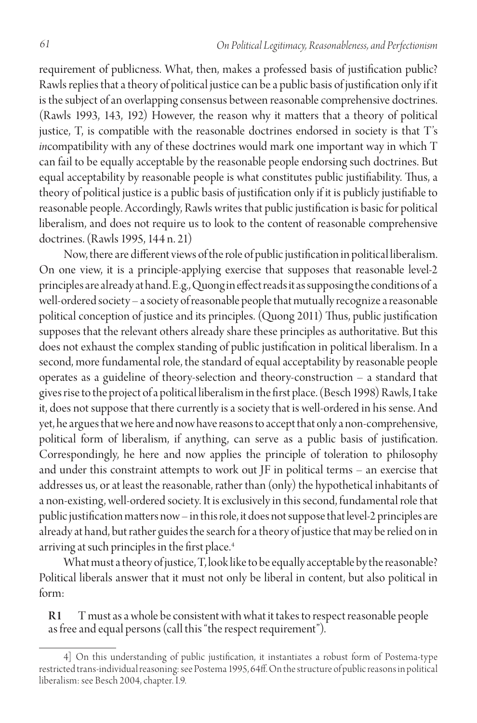requirement of publicness. What, then, makes a professed basis of justification public? Rawls replies that a theory of political justice can be a public basis of justification only if it is the subject of an overlapping consensus between reasonable comprehensive doctrines. (Rawls 1993, 143, 192) However, the reason why it matters that a theory of political justice, T, is compatible with the reasonable doctrines endorsed in society is that T's *in*compatibility with any of these doctrines would mark one important way in which T can fail to be equally acceptable by the reasonable people endorsing such doctrines. But equal acceptability by reasonable people is what constitutes public justifiability. Thus, a theory of political justice is a public basis of justification only if it is publicly justifiable to reasonable people. Accordingly, Rawls writes that public justification is basic for political liberalism, and does not require us to look to the content of reasonable comprehensive doctrines. (Rawls 1995, 144 n. 21)

Now, there are different views of the role of public justification in political liberalism. On one view, it is a principle-applying exercise that supposes that reasonable level-2 principles are already at hand. E.g., Quong in effect reads it as supposing the conditions of a well-ordered society – a society of reasonable people that mutually recognize a reasonable political conception of justice and its principles. (Quong 2011) Thus, public justification supposes that the relevant others already share these principles as authoritative. But this does not exhaust the complex standing of public justification in political liberalism. In a second, more fundamental role, the standard of equal acceptability by reasonable people operates as a guideline of theory-selection and theory-construction – a standard that gives rise to the project of a political liberalism in the first place. (Besch 1998) Rawls, I take it, does not suppose that there currently is a society that is well-ordered in his sense. And yet, he argues that we here and now have reasons to accept that only a non-comprehensive, political form of liberalism, if anything, can serve as a public basis of justification. Correspondingly, he here and now applies the principle of toleration to philosophy and under this constraint attempts to work out JF in political terms – an exercise that addresses us, or at least the reasonable, rather than (only) the hypothetical inhabitants of a non-existing, well-ordered society. It is exclusively in this second, fundamental role that public justification matters now – in this role, it does not suppose that level-2 principles are already at hand, but rather guides the search for a theory of justice that may be relied on in arriving at such principles in the first place.<sup>4</sup>

What must a theory of justice, T, look like to be equally acceptable by the reasonable? Political liberals answer that it must not only be liberal in content, but also political in form:

R1 T must as a whole be consistent with what it takes to respect reasonable people as free and equal persons (call this "the respect requirement").

<sup>4]</sup> On this understanding of public justification, it instantiates a robust form of Postema-type restricted trans-individual reasoning: see Postema 1995, 64ff. On the structure of public reasons in political liberalism: see Besch 2004, chapter. I.9.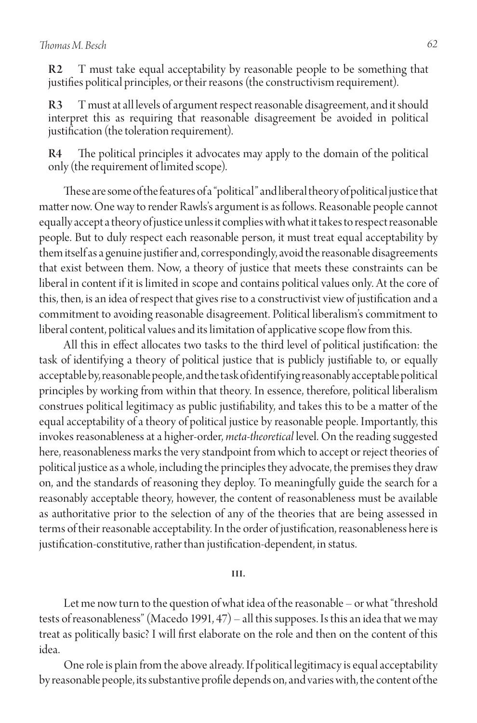T must take equal acceptability by reasonable people to be something that justifies political principles, or their reasons (the constructivism requirement).

R3 T must at all levels of argument respect reasonable disagreement, and it should interpret this as requiring that reasonable disagreement be avoided in political justification (the toleration requirement).

R4 The political principles it advocates may apply to the domain of the political only (the requirement of limited scope).

These are some of the features of a "political" and liberal theory of political justice that matter now. One way to render Rawls's argument is as follows. Reasonable people cannot equally accept a theory of justice unless it complies with what it takes to respect reasonable people. But to duly respect each reasonable person, it must treat equal acceptability by them itself as a genuine justifier and, correspondingly, avoid the reasonable disagreements that exist between them. Now, a theory of justice that meets these constraints can be liberal in content if it is limited in scope and contains political values only. At the core of this, then, is an idea of respect that gives rise to a constructivist view of justification and a commitment to avoiding reasonable disagreement. Political liberalism's commitment to liberal content, political values and its limitation of applicative scope flow from this.

All this in effect allocates two tasks to the third level of political justification: the task of identifying a theory of political justice that is publicly justifiable to, or equally acceptable by, reasonable people, and the task of identifying reasonably acceptable political principles by working from within that theory. In essence, therefore, political liberalism construes political legitimacy as public justifiability, and takes this to be a matter of the equal acceptability of a theory of political justice by reasonable people. Importantly, this invokes reasonableness at a higher-order, *meta-theoretical* level. On the reading suggested here, reasonableness marks the very standpoint from which to accept or reject theories of political justice as a whole, including the principles they advocate, the premises they draw on, and the standards of reasoning they deploy. To meaningfully guide the search for a reasonably acceptable theory, however, the content of reasonableness must be available as authoritative prior to the selection of any of the theories that are being assessed in terms of their reasonable acceptability. In the order of justification, reasonableness here is justification-constitutive, rather than justification-dependent, in status.

#### **III.**

Let me now turn to the question of what idea of the reasonable – or what "threshold tests of reasonableness" (Macedo 1991, 47) – all this supposes. Is this an idea that we may treat as politically basic? I will first elaborate on the role and then on the content of this idea.

One role is plain from the above already. If political legitimacy is equal acceptability by reasonable people, its substantive profile depends on, and varies with, the content of the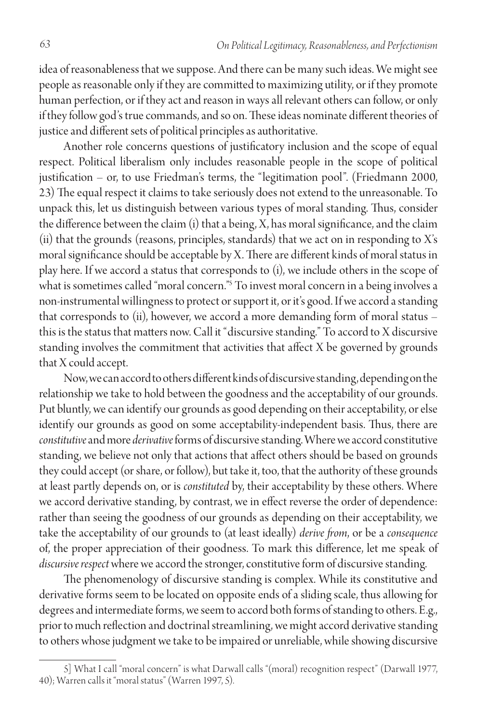idea of reasonableness that we suppose. And there can be many such ideas. We might see people as reasonable only if they are committed to maximizing utility, or if they promote human perfection, or if they act and reason in ways all relevant others can follow, or only if they follow god's true commands, and so on. These ideas nominate different theories of justice and different sets of political principles as authoritative.

Another role concerns questions of justificatory inclusion and the scope of equal respect. Political liberalism only includes reasonable people in the scope of political justification – or, to use Friedman's terms, the "legitimation pool". (Friedmann 2000, 23) The equal respect it claims to take seriously does not extend to the unreasonable. To unpack this, let us distinguish between various types of moral standing. Thus, consider the difference between the claim (i) that a being, X, has moral significance, and the claim (ii) that the grounds (reasons, principles, standards) that we act on in responding to X's moral significance should be acceptable by X. There are different kinds of moral status in play here. If we accord a status that corresponds to (i), we include others in the scope of what is sometimes called "moral concern."5 To invest moral concern in a being involves a non-instrumental willingness to protect or support it, or it's good. If we accord a standing that corresponds to (ii), however, we accord a more demanding form of moral status – this is the status that matters now. Call it "discursive standing." To accord to X discursive standing involves the commitment that activities that affect X be governed by grounds that X could accept.

Now, we can accord to others different kinds of discursive standing, depending on the relationship we take to hold between the goodness and the acceptability of our grounds. Put bluntly, we can identify our grounds as good depending on their acceptability, or else identify our grounds as good on some acceptability-independent basis. Thus, there are *constitutive* and more *derivative* forms of discursive standing. Where we accord constitutive standing, we believe not only that actions that affect others should be based on grounds they could accept (or share, or follow), but take it, too, that the authority of these grounds at least partly depends on, or is *constituted* by, their acceptability by these others. Where we accord derivative standing, by contrast, we in effect reverse the order of dependence: rather than seeing the goodness of our grounds as depending on their acceptability, we take the acceptability of our grounds to (at least ideally) *derive from*, or be a *consequence* of, the proper appreciation of their goodness. To mark this difference, let me speak of *discursive respect* where we accord the stronger, constitutive form of discursive standing.

The phenomenology of discursive standing is complex. While its constitutive and derivative forms seem to be located on opposite ends of a sliding scale, thus allowing for degrees and intermediate forms, we seem to accord both forms of standing to others. E.g., prior to much reflection and doctrinal streamlining, we might accord derivative standing to others whose judgment we take to be impaired or unreliable, while showing discursive

<sup>5]</sup> What I call "moral concern" is what Darwall calls "(moral) recognition respect" (Darwall 1977, 40); Warren calls it "moral status" (Warren 1997, 5).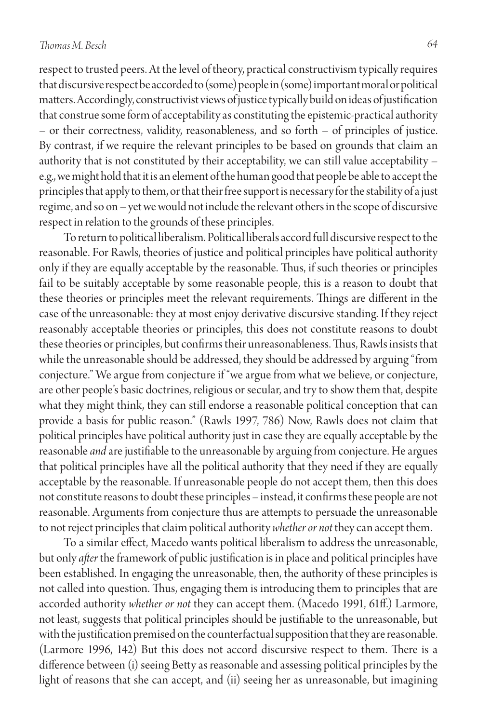respect to trusted peers. At the level of theory, practical constructivism typically requires that discursive respect be accorded to (some) people in (some) important moral or political matters. Accordingly, constructivist views of justice typically build on ideas of justification that construe some form of acceptability as constituting the epistemic-practical authority – or their correctness, validity, reasonableness, and so forth – of principles of justice. By contrast, if we require the relevant principles to be based on grounds that claim an authority that is not constituted by their acceptability, we can still value acceptability – e.g., we might hold that it is an element of the human good that people be able to accept the principles that apply to them, or that their free support is necessary for the stability of a just regime, and so on – yet we would not include the relevant others in the scope of discursive respect in relation to the grounds of these principles.

To return to political liberalism. Political liberals accord full discursive respect to the reasonable. For Rawls, theories of justice and political principles have political authority only if they are equally acceptable by the reasonable. Thus, if such theories or principles fail to be suitably acceptable by some reasonable people, this is a reason to doubt that these theories or principles meet the relevant requirements. Things are different in the case of the unreasonable: they at most enjoy derivative discursive standing. If they reject reasonably acceptable theories or principles, this does not constitute reasons to doubt these theories or principles, but confirms their unreasonableness. Thus, Rawls insists that while the unreasonable should be addressed, they should be addressed by arguing "from conjecture." We argue from conjecture if "we argue from what we believe, or conjecture, are other people's basic doctrines, religious or secular, and try to show them that, despite what they might think, they can still endorse a reasonable political conception that can provide a basis for public reason." (Rawls 1997, 786) Now, Rawls does not claim that political principles have political authority just in case they are equally acceptable by the reasonable *and* are justifiable to the unreasonable by arguing from conjecture. He argues that political principles have all the political authority that they need if they are equally acceptable by the reasonable. If unreasonable people do not accept them, then this does not constitute reasons to doubt these principles – instead, it confirms these people are not reasonable. Arguments from conjecture thus are attempts to persuade the unreasonable to not reject principles that claim political authority *whether or not* they can accept them.

To a similar effect, Macedo wants political liberalism to address the unreasonable, but only *after* the framework of public justification is in place and political principles have been established. In engaging the unreasonable, then, the authority of these principles is not called into question. Thus, engaging them is introducing them to principles that are accorded authority *whether or not* they can accept them. (Macedo 1991, 61ff.) Larmore, not least, suggests that political principles should be justifiable to the unreasonable, but with the justification premised on the counterfactual supposition that they are reasonable. (Larmore 1996, 142) But this does not accord discursive respect to them. There is a difference between (i) seeing Betty as reasonable and assessing political principles by the light of reasons that she can accept, and (ii) seeing her as unreasonable, but imagining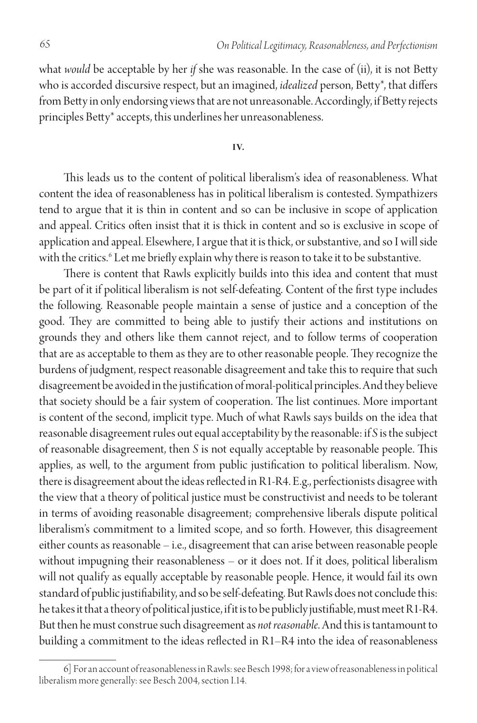what *would* be acceptable by her *if* she was reasonable. In the case of (ii), it is not Betty who is accorded discursive respect, but an imagined, *idealized* person, Betty\*, that differs from Betty in only endorsing views that are not unreasonable. Accordingly, if Betty rejects principles Betty\* accepts, this underlines her unreasonableness.

**I V.**

This leads us to the content of political liberalism's idea of reasonableness. What content the idea of reasonableness has in political liberalism is contested. Sympathizers tend to argue that it is thin in content and so can be inclusive in scope of application and appeal. Critics often insist that it is thick in content and so is exclusive in scope of application and appeal. Elsewhere, I argue that it is thick, or substantive, and so I will side with the critics.6 Let me briefly explain why there is reason to take it to be substantive.

There is content that Rawls explicitly builds into this idea and content that must be part of it if political liberalism is not self-defeating. Content of the first type includes the following. Reasonable people maintain a sense of justice and a conception of the good. They are committed to being able to justify their actions and institutions on grounds they and others like them cannot reject, and to follow terms of cooperation that are as acceptable to them as they are to other reasonable people. They recognize the burdens of judgment, respect reasonable disagreement and take this to require that such disagreement be avoided in the justification of moral-political principles. And they believe that society should be a fair system of cooperation. The list continues. More important is content of the second, implicit type. Much of what Rawls says builds on the idea that reasonable disagreement rules out equal acceptability by the reasonable: if *S* is the subject of reasonable disagreement, then *S* is not equally acceptable by reasonable people. This applies, as well, to the argument from public justification to political liberalism. Now, there is disagreement about the ideas reflected in R1-R4. E.g., perfectionists disagree with the view that a theory of political justice must be constructivist and needs to be tolerant in terms of avoiding reasonable disagreement; comprehensive liberals dispute political liberalism's commitment to a limited scope, and so forth. However, this disagreement either counts as reasonable – i.e., disagreement that can arise between reasonable people without impugning their reasonableness – or it does not. If it does, political liberalism will not qualify as equally acceptable by reasonable people. Hence, it would fail its own standard of public justifiability, and so be self-defeating. But Rawls does not conclude this: he takes it that a theory of political justice, if it is to be publicly justifiable, must meet R1-R4. But then he must construe such disagreement as *not reasonable*. And this is tantamount to building a commitment to the ideas reflected in R1–R4 into the idea of reasonableness

<sup>6]</sup> For an account of reasonableness in Rawls: see Besch 1998; for a view of reasonableness in political liberalism more generally: see Besch 2004, section I.14.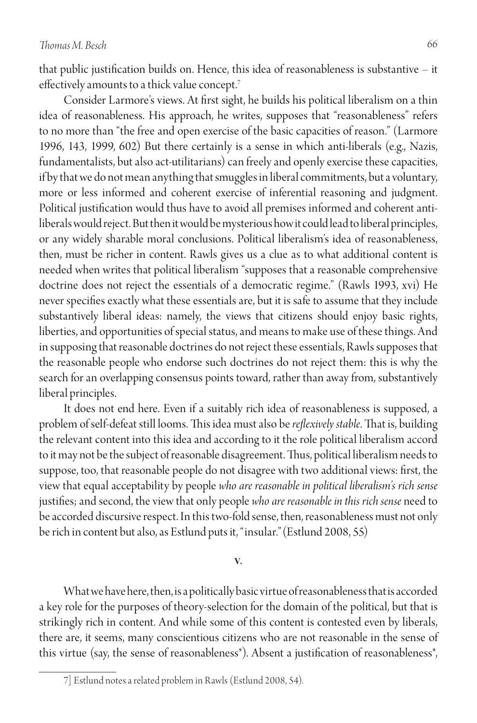that public justification builds on. Hence, this idea of reasonableness is substantive – it effectively amounts to a thick value concept.7

Consider Larmore's views. At first sight, he builds his political liberalism on a thin idea of reasonableness. His approach, he writes, supposes that "reasonableness" refers to no more than "the free and open exercise of the basic capacities of reason." (Larmore 1996, 143, 1999, 602) But there certainly is a sense in which anti-liberals (e.g., Nazis, fundamentalists, but also act-utilitarians) can freely and openly exercise these capacities, if by that we do not mean anything that smuggles in liberal commitments, but a voluntary, more or less informed and coherent exercise of inferential reasoning and judgment. Political justification would thus have to avoid all premises informed and coherent antiliberals would reject. But then it would be mysterious how it could lead to liberal principles, or any widely sharable moral conclusions. Political liberalism's idea of reasonableness, then, must be richer in content. Rawls gives us a clue as to what additional content is needed when writes that political liberalism "supposes that a reasonable comprehensive doctrine does not reject the essentials of a democratic regime." (Rawls 1993, xvi) He never specifies exactly what these essentials are, but it is safe to assume that they include substantively liberal ideas: namely, the views that citizens should enjoy basic rights, liberties, and opportunities of special status, and means to make use of these things. And in supposing that reasonable doctrines do not reject these essentials, Rawls supposes that the reasonable people who endorse such doctrines do not reject them: this is why the search for an overlapping consensus points toward, rather than away from, substantively liberal principles.

It does not end here. Even if a suitably rich idea of reasonableness is supposed, a problem of self-defeat still looms. This idea must also be *reflexively stable*. That is, building the relevant content into this idea and according to it the role political liberalism accord to it may not be the subject of reasonable disagreement. Thus, political liberalism needs to suppose, too, that reasonable people do not disagree with two additional views: first, the view that equal acceptability by people *who are reasonable in political liberalism's rich sense*  justifies; and second, the view that only people *who are reasonable in this rich sense* need to be accorded discursive respect. In this two-fold sense, then, reasonableness must not only be rich in content but also, as Estlund puts it, "insular."(Estlund 2008, 55)

#### **V.**

What we have here, then, is a politically basic virtue of reasonableness that is accorded a key role for the purposes of theory-selection for the domain of the political, but that is strikingly rich in content. And while some of this content is contested even by liberals, there are, it seems, many conscientious citizens who are not reasonable in the sense of this virtue (say, the sense of reasonableness\*). Absent a justification of reasonableness\*,

<sup>7]</sup> Estlund notes a related problem in Rawls (Estlund 2008, 54).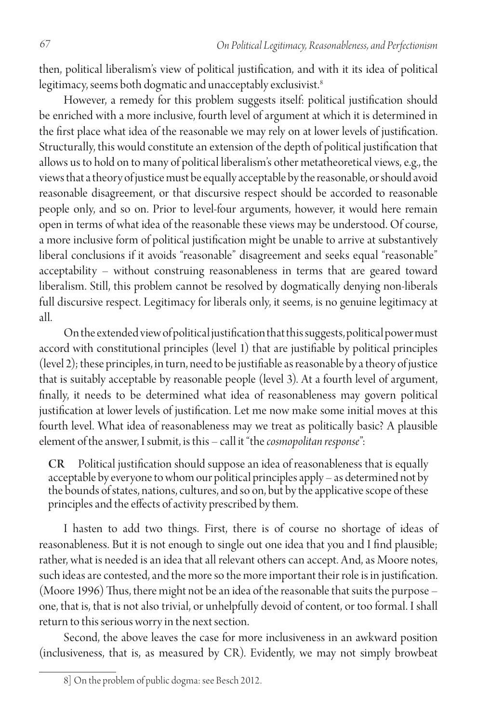then, political liberalism's view of political justification, and with it its idea of political legitimacy, seems both dogmatic and unacceptably exclusivist.<sup>8</sup>

However, a remedy for this problem suggests itself: political justification should be enriched with a more inclusive, fourth level of argument at which it is determined in the first place what idea of the reasonable we may rely on at lower levels of justification. Structurally, this would constitute an extension of the depth of political justification that allows us to hold on to many of political liberalism's other metatheoretical views, e.g., the views that a theory of justice must be equally acceptable by the reasonable, or should avoid reasonable disagreement, or that discursive respect should be accorded to reasonable people only, and so on. Prior to level-four arguments, however, it would here remain open in terms of what idea of the reasonable these views may be understood. Of course, a more inclusive form of political justification might be unable to arrive at substantively liberal conclusions if it avoids "reasonable" disagreement and seeks equal "reasonable" acceptability – without construing reasonableness in terms that are geared toward liberalism. Still, this problem cannot be resolved by dogmatically denying non-liberals full discursive respect. Legitimacy for liberals only, it seems, is no genuine legitimacy at all.

On the extended view of political justification that this suggests, political power must accord with constitutional principles (level 1) that are justifiable by political principles (level 2); these principles, in turn, need to be justifiable as reasonable by a theory of justice that is suitably acceptable by reasonable people (level 3). At a fourth level of argument, finally, it needs to be determined what idea of reasonableness may govern political justification at lower levels of justification. Let me now make some initial moves at this fourth level. What idea of reasonableness may we treat as politically basic? A plausible element of the answer, I submit, is this – call it "the *cosmopolitan response*":

CR Political justification should suppose an idea of reasonableness that is equally acceptable by everyone to whom our political principles apply – as determined not by the bounds of states, nations, cultures, and so on, but by the applicative scope of these principles and the effects of activity prescribed by them.

I hasten to add two things. First, there is of course no shortage of ideas of reasonableness. But it is not enough to single out one idea that you and I find plausible; rather, what is needed is an idea that all relevant others can accept. And, as Moore notes, such ideas are contested, and the more so the more important their role is in justification. (Moore 1996) Thus, there might not be an idea of the reasonable that suits the purpose – one, that is, that is not also trivial, or unhelpfully devoid of content, or too formal. I shall return to this serious worry in the next section.

Second, the above leaves the case for more inclusiveness in an awkward position (inclusiveness, that is, as measured by CR). Evidently, we may not simply browbeat

<sup>8]</sup> On the problem of public dogma: see Besch 2012.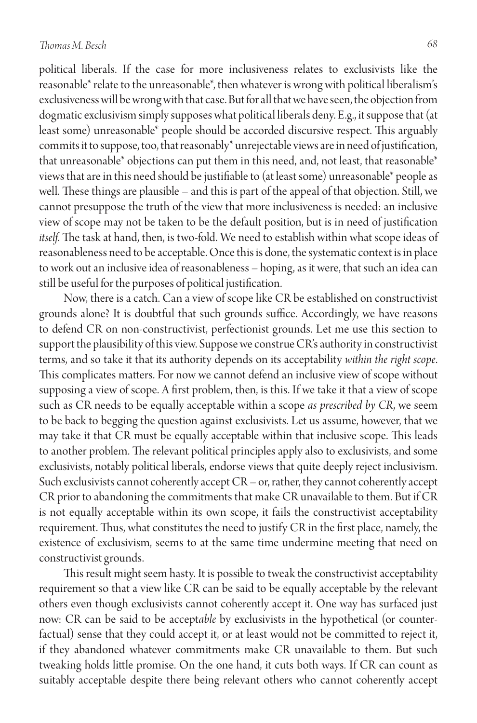# *Thomas M. Besch 68*

political liberals. If the case for more inclusiveness relates to exclusivists like the reasonable\* relate to the unreasonable\*, then whatever is wrong with political liberalism's exclusiveness will be wrong with that case. But for all that we have seen, the objection from dogmatic exclusivism simply supposes what political liberals deny. E.g., it suppose that (at least some) unreasonable\* people should be accorded discursive respect. This arguably commits it to suppose, too, that reasonably\* unrejectable views are in need of justification, that unreasonable\* objections can put them in this need, and, not least, that reasonable\* views that are in this need should be justifiable to (at least some) unreasonable\* people as well. These things are plausible – and this is part of the appeal of that objection. Still, we cannot presuppose the truth of the view that more inclusiveness is needed: an inclusive view of scope may not be taken to be the default position, but is in need of justification *itself*. The task at hand, then, is two-fold. We need to establish within what scope ideas of reasonableness need to be acceptable. Once this is done, the systematic context is in place to work out an inclusive idea of reasonableness – hoping, as it were, that such an idea can still be useful for the purposes of political justification.

Now, there is a catch. Can a view of scope like CR be established on constructivist grounds alone? It is doubtful that such grounds suffice. Accordingly, we have reasons to defend CR on non-constructivist, perfectionist grounds. Let me use this section to support the plausibility of this view. Suppose we construe CR's authority in constructivist terms, and so take it that its authority depends on its acceptability *within the right scope*. This complicates matters. For now we cannot defend an inclusive view of scope without supposing a view of scope. A first problem, then, is this. If we take it that a view of scope such as CR needs to be equally acceptable within a scope *as prescribed by CR*, we seem to be back to begging the question against exclusivists. Let us assume, however, that we may take it that CR must be equally acceptable within that inclusive scope. This leads to another problem. The relevant political principles apply also to exclusivists, and some exclusivists, notably political liberals, endorse views that quite deeply reject inclusivism. Such exclusivists cannot coherently accept CR – or, rather, they cannot coherently accept CR prior to abandoning the commitments that make CR unavailable to them. But if CR is not equally acceptable within its own scope, it fails the constructivist acceptability requirement. Thus, what constitutes the need to justify CR in the first place, namely, the existence of exclusivism, seems to at the same time undermine meeting that need on constructivist grounds.

This result might seem hasty. It is possible to tweak the constructivist acceptability requirement so that a view like CR can be said to be equally acceptable by the relevant others even though exclusivists cannot coherently accept it. One way has surfaced just now: CR can be said to be accept*able* by exclusivists in the hypothetical (or counterfactual) sense that they could accept it, or at least would not be committed to reject it, if they abandoned whatever commitments make CR unavailable to them. But such tweaking holds little promise. On the one hand, it cuts both ways. If CR can count as suitably acceptable despite there being relevant others who cannot coherently accept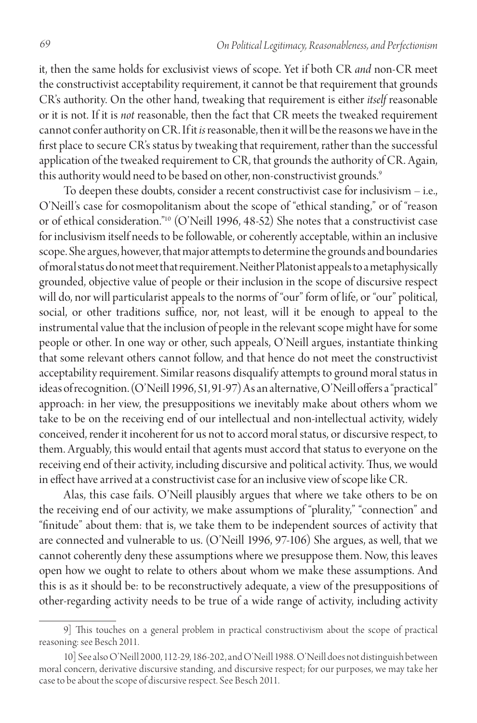it, then the same holds for exclusivist views of scope. Yet if both CR *and* non-CR meet the constructivist acceptability requirement, it cannot be that requirement that grounds CR's authority. On the other hand, tweaking that requirement is either *itself* reasonable or it is not. If it is *not* reasonable, then the fact that CR meets the tweaked requirement cannot confer authority on CR. If it *is* reasonable, then it will be the reasons we have in the first place to secure CR's status by tweaking that requirement, rather than the successful application of the tweaked requirement to CR, that grounds the authority of CR. Again, this authority would need to be based on other, non-constructivist grounds.<sup>9</sup>

To deepen these doubts, consider a recent constructivist case for inclusivism – i.e., O'Neill's case for cosmopolitanism about the scope of "ethical standing," or of "reason or of ethical consideration."10 (O'Neill 1996, 48-52) She notes that a constructivist case for inclusivism itself needs to be followable, or coherently acceptable, within an inclusive scope. She argues, however, that major attempts to determine the grounds and boundaries of moral status do not meet that requirement. Neither Platonist appeals to a metaphysically grounded, objective value of people or their inclusion in the scope of discursive respect will do, nor will particularist appeals to the norms of "our" form of life, or "our" political, social, or other traditions suffice, nor, not least, will it be enough to appeal to the instrumental value that the inclusion of people in the relevant scope might have for some people or other. In one way or other, such appeals, O'Neill argues, instantiate thinking that some relevant others cannot follow, and that hence do not meet the constructivist acceptability requirement. Similar reasons disqualify attempts to ground moral status in ideas of recognition. (O'Neill 1996, 51, 91-97) As an alternative, O'Neill offers a "practical" approach: in her view, the presuppositions we inevitably make about others whom we take to be on the receiving end of our intellectual and non-intellectual activity, widely conceived, render it incoherent for us not to accord moral status, or discursive respect, to them. Arguably, this would entail that agents must accord that status to everyone on the receiving end of their activity, including discursive and political activity. Thus, we would in effect have arrived at a constructivist case for an inclusive view of scope like CR.

Alas, this case fails. O'Neill plausibly argues that where we take others to be on the receiving end of our activity, we make assumptions of "plurality," "connection" and "finitude" about them: that is, we take them to be independent sources of activity that are connected and vulnerable to us. (O'Neill 1996, 97-106) She argues, as well, that we cannot coherently deny these assumptions where we presuppose them. Now, this leaves open how we ought to relate to others about whom we make these assumptions. And this is as it should be: to be reconstructively adequate, a view of the presuppositions of other-regarding activity needs to be true of a wide range of activity, including activity

<sup>9]</sup> This touches on a general problem in practical constructivism about the scope of practical reasoning: see Besch 2011.

<sup>10]</sup> See also O'Neill 2000, 112-29, 186-202, and O'Neill 1988. O'Neill does not distinguish between moral concern, derivative discursive standing, and discursive respect; for our purposes, we may take her case to be about the scope of discursive respect. See Besch 2011.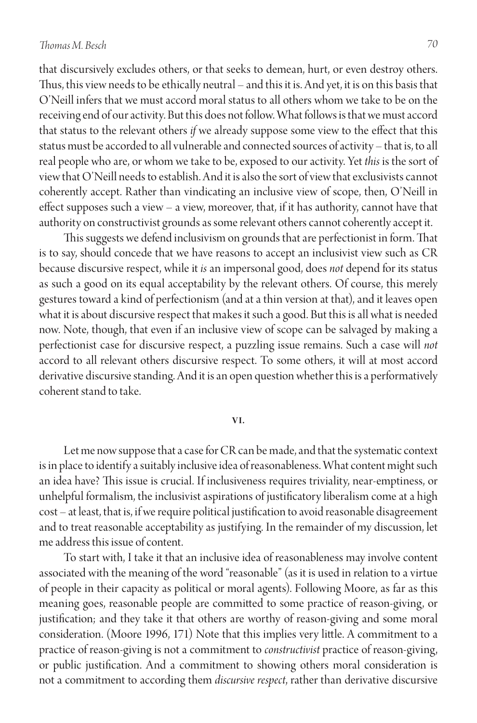that discursively excludes others, or that seeks to demean, hurt, or even destroy others. Thus, this view needs to be ethically neutral – and this it is. And yet, it is on this basis that O'Neill infers that we must accord moral status to all others whom we take to be on the receiving end of our activity. But this does not follow. What follows is that we must accord that status to the relevant others *if* we already suppose some view to the effect that this status must be accorded to all vulnerable and connected sources of activity – that is, to all real people who are, or whom we take to be, exposed to our activity. Yet *this* is the sort of view that O'Neill needs to establish. And it is also the sort of view that exclusivists cannot coherently accept. Rather than vindicating an inclusive view of scope, then, O'Neill in effect supposes such a view – a view, moreover, that, if it has authority, cannot have that authority on constructivist grounds as some relevant others cannot coherently accept it.

This suggests we defend inclusivism on grounds that are perfectionist in form. That is to say, should concede that we have reasons to accept an inclusivist view such as CR because discursive respect, while it *is* an impersonal good, does *not* depend for its status as such a good on its equal acceptability by the relevant others. Of course, this merely gestures toward a kind of perfectionism (and at a thin version at that), and it leaves open what it is about discursive respect that makes it such a good. But this is all what is needed now. Note, though, that even if an inclusive view of scope can be salvaged by making a perfectionist case for discursive respect, a puzzling issue remains. Such a case will *not*  accord to all relevant others discursive respect. To some others, it will at most accord derivative discursive standing. And it is an open question whether this is a performatively coherent stand to take.

#### **VI.**

Let me now suppose that a case for CR can be made, and that the systematic context is in place to identify a suitably inclusive idea of reasonableness. What content might such an idea have? This issue is crucial. If inclusiveness requires triviality, near-emptiness, or unhelpful formalism, the inclusivist aspirations of justificatory liberalism come at a high cost – at least, that is, if we require political justification to avoid reasonable disagreement and to treat reasonable acceptability as justifying. In the remainder of my discussion, let me address this issue of content.

To start with, I take it that an inclusive idea of reasonableness may involve content associated with the meaning of the word "reasonable" (as it is used in relation to a virtue of people in their capacity as political or moral agents). Following Moore, as far as this meaning goes, reasonable people are committed to some practice of reason-giving, or justification; and they take it that others are worthy of reason-giving and some moral consideration. (Moore 1996, 171) Note that this implies very little. A commitment to a practice of reason-giving is not a commitment to *constructivist* practice of reason-giving, or public justification. And a commitment to showing others moral consideration is not a commitment to according them *discursive respect*, rather than derivative discursive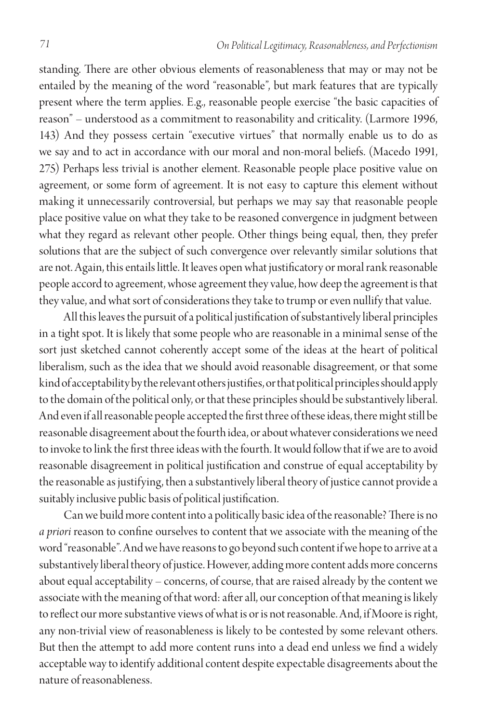standing. There are other obvious elements of reasonableness that may or may not be entailed by the meaning of the word "reasonable", but mark features that are typically present where the term applies. E.g., reasonable people exercise "the basic capacities of reason" – understood as a commitment to reasonability and criticality. (Larmore 1996, 143) And they possess certain "executive virtues" that normally enable us to do as we say and to act in accordance with our moral and non-moral beliefs. (Macedo 1991, 275) Perhaps less trivial is another element. Reasonable people place positive value on agreement, or some form of agreement. It is not easy to capture this element without making it unnecessarily controversial, but perhaps we may say that reasonable people place positive value on what they take to be reasoned convergence in judgment between what they regard as relevant other people. Other things being equal, then, they prefer solutions that are the subject of such convergence over relevantly similar solutions that are not. Again, this entails little. It leaves open what justificatory or moral rank reasonable people accord to agreement, whose agreement they value, how deep the agreement is that they value, and what sort of considerations they take to trump or even nullify that value.

All this leaves the pursuit of a political justification of substantively liberal principles in a tight spot. It is likely that some people who are reasonable in a minimal sense of the sort just sketched cannot coherently accept some of the ideas at the heart of political liberalism, such as the idea that we should avoid reasonable disagreement, or that some kind of acceptability by the relevant others justifies, or that political principles should apply to the domain of the political only, or that these principles should be substantively liberal. And even if all reasonable people accepted the first three of these ideas, there might still be reasonable disagreement about the fourth idea, or about whatever considerations we need to invoke to link the first three ideas with the fourth. It would follow that if we are to avoid reasonable disagreement in political justification and construe of equal acceptability by the reasonable as justifying, then a substantively liberal theory of justice cannot provide a suitably inclusive public basis of political justification.

Can we build more content into a politically basic idea of the reasonable? There is no *a priori* reason to confine ourselves to content that we associate with the meaning of the word "reasonable". And we have reasons to go beyond such content if we hope to arrive at a substantively liberal theory of justice. However, adding more content adds more concerns about equal acceptability – concerns, of course, that are raised already by the content we associate with the meaning of that word: after all, our conception of that meaning is likely to reflect our more substantive views of what is or is not reasonable. And, if Moore is right, any non-trivial view of reasonableness is likely to be contested by some relevant others. But then the attempt to add more content runs into a dead end unless we find a widely acceptable way to identify additional content despite expectable disagreements about the nature of reasonableness.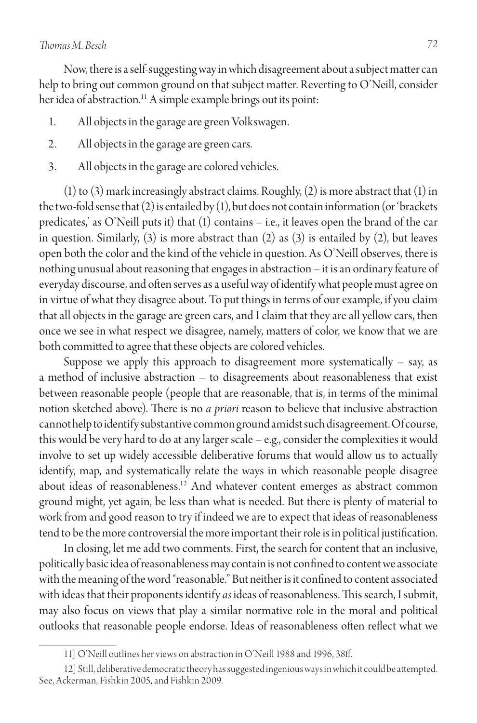Now, there is a self-suggesting way in which disagreement about a subject matter can help to bring out common ground on that subject matter. Reverting to O'Neill, consider her idea of abstraction.<sup>11</sup> A simple example brings out its point:

- 1. All objects in the garage are green Volkswagen.
- 2. All objects in the garage are green cars.
- 3. All objects in the garage are colored vehicles.

(1) to (3) mark increasingly abstract claims. Roughly, (2) is more abstract that (1) in the two-fold sense that (2) is entailed by (1), but does not contain information (or 'brackets predicates,' as O'Neill puts it) that (1) contains – i.e., it leaves open the brand of the car in question. Similarly,  $(3)$  is more abstract than  $(2)$  as  $(3)$  is entailed by  $(2)$ , but leaves open both the color and the kind of the vehicle in question. As O'Neill observes, there is nothing unusual about reasoning that engages in abstraction – it is an ordinary feature of everyday discourse, and often serves as a useful way of identify what people must agree on in virtue of what they disagree about. To put things in terms of our example, if you claim that all objects in the garage are green cars, and I claim that they are all yellow cars, then once we see in what respect we disagree, namely, matters of color, we know that we are both committed to agree that these objects are colored vehicles.

Suppose we apply this approach to disagreement more systematically  $-$  say, as a method of inclusive abstraction – to disagreements about reasonableness that exist between reasonable people (people that are reasonable, that is, in terms of the minimal notion sketched above). There is no *a priori* reason to believe that inclusive abstraction cannot help to identify substantive common ground amidst such disagreement. Of course, this would be very hard to do at any larger scale – e.g., consider the complexities it would involve to set up widely accessible deliberative forums that would allow us to actually identify, map, and systematically relate the ways in which reasonable people disagree about ideas of reasonableness.<sup>12</sup> And whatever content emerges as abstract common ground might, yet again, be less than what is needed. But there is plenty of material to work from and good reason to try if indeed we are to expect that ideas of reasonableness tend to be the more controversial the more important their role is in political justification.

In closing, let me add two comments. First, the search for content that an inclusive, politically basic idea of reasonableness may contain is not confined to content we associate with the meaning of the word "reasonable." But neither is it confined to content associated with ideas that their proponents identify *as* ideas of reasonableness. This search, I submit, may also focus on views that play a similar normative role in the moral and political outlooks that reasonable people endorse. Ideas of reasonableness often reflect what we

<sup>11]</sup> O'Neill outlines her views on abstraction in O'Neill 1988 and 1996, 38ff.

<sup>12]</sup> Still, deliberative democratic theory has suggested ingenious ways in which it could be attempted. See, Ackerman, Fishkin 2005, and Fishkin 2009.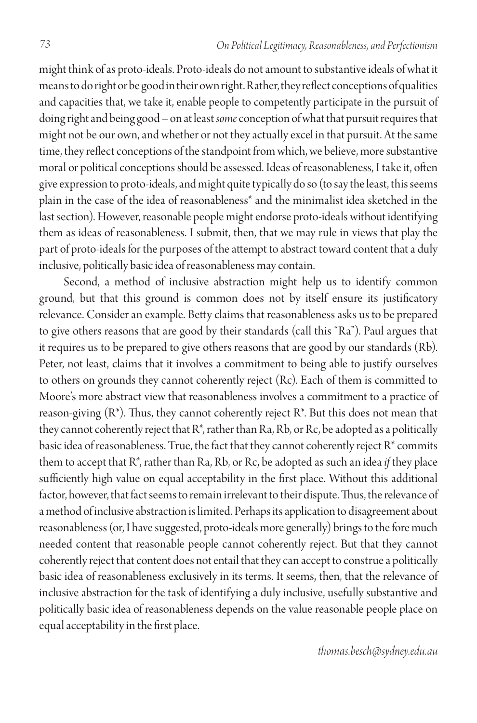might think of as proto-ideals. Proto-ideals do not amount to substantive ideals of what it means to do right or be good in their own right. Rather, they reflect conceptions of qualities and capacities that, we take it, enable people to competently participate in the pursuit of doing right and being good – on at least *some* conception of what that pursuit requires that might not be our own, and whether or not they actually excel in that pursuit. At the same time, they reflect conceptions of the standpoint from which, we believe, more substantive moral or political conceptions should be assessed. Ideas of reasonableness, I take it, often give expression to proto-ideals, and might quite typically do so (to say the least, this seems plain in the case of the idea of reasonableness\* and the minimalist idea sketched in the last section). However, reasonable people might endorse proto-ideals without identifying them as ideas of reasonableness. I submit, then, that we may rule in views that play the part of proto-ideals for the purposes of the attempt to abstract toward content that a duly inclusive, politically basic idea of reasonableness may contain.

Second, a method of inclusive abstraction might help us to identify common ground, but that this ground is common does not by itself ensure its justificatory relevance. Consider an example. Betty claims that reasonableness asks us to be prepared to give others reasons that are good by their standards (call this "Ra"). Paul argues that it requires us to be prepared to give others reasons that are good by our standards (Rb). Peter, not least, claims that it involves a commitment to being able to justify ourselves to others on grounds they cannot coherently reject (Rc). Each of them is committed to Moore's more abstract view that reasonableness involves a commitment to a practice of reason-giving  $(R^*)$ . Thus, they cannot coherently reject  $R^*$ . But this does not mean that they cannot coherently reject that R\*, rather than Ra, Rb, or Rc, be adopted as a politically basic idea of reasonableness. True, the fact that they cannot coherently reject  $R^*$  commits them to accept that R\*, rather than Ra, Rb, or Rc, be adopted as such an idea *if* they place sufficiently high value on equal acceptability in the first place. Without this additional factor, however, that fact seems to remain irrelevant to their dispute. Thus, the relevance of a method of inclusive abstraction is limited. Perhaps its application to disagreement about reasonableness (or, I have suggested, proto-ideals more generally) brings to the fore much needed content that reasonable people cannot coherently reject. But that they cannot coherently reject that content does not entail that they can accept to construe a politically basic idea of reasonableness exclusively in its terms. It seems, then, that the relevance of inclusive abstraction for the task of identifying a duly inclusive, usefully substantive and politically basic idea of reasonableness depends on the value reasonable people place on equal acceptability in the first place.